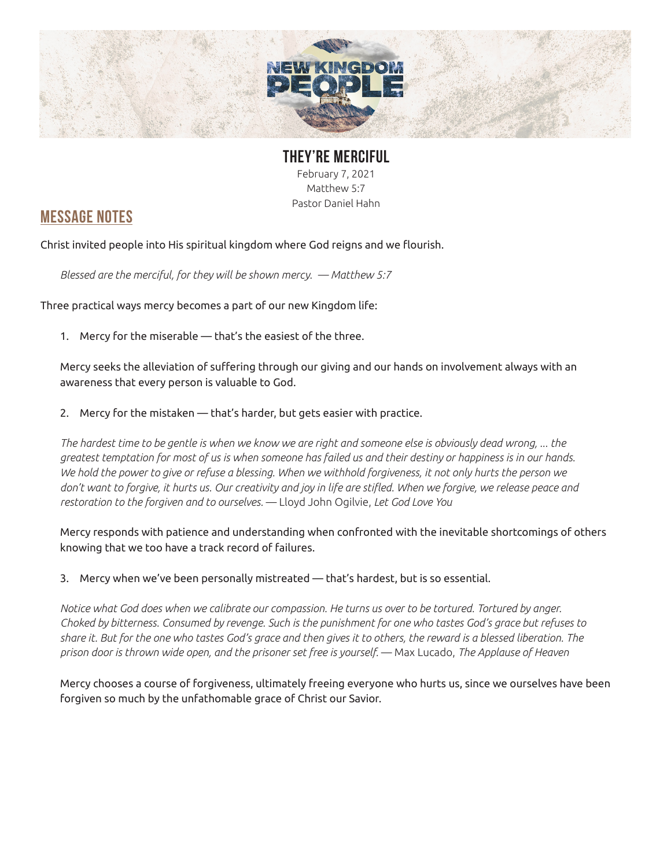

## **THEY'RE MERCIFUL** February 7, 2021 Matthew 5:7 Pastor Daniel Hahn

## **MESSAGE NOTES**

Christ invited people into His spiritual kingdom where God reigns and we flourish.

*Blessed are the merciful, for they will be shown mercy. — Matthew 5:7*

Three practical ways mercy becomes a part of our new Kingdom life:

1. Mercy for the miserable — that's the easiest of the three.

Mercy seeks the alleviation of suffering through our giving and our hands on involvement always with an awareness that every person is valuable to God.

2. Mercy for the mistaken — that's harder, but gets easier with practice.

*The hardest time to be gentle is when we know we are right and someone else is obviously dead wrong, ... the greatest temptation for most of us is when someone has failed us and their destiny or happiness is in our hands. We hold the power to give or refuse a blessing. When we withhold forgiveness, it not only hurts the person we don't want to forgive, it hurts us. Our creativity and joy in life are stifled. When we forgive, we release peace and restoration to the forgiven and to ourselves.* — Lloyd John Ogilvie, *Let God Love You*

Mercy responds with patience and understanding when confronted with the inevitable shortcomings of others knowing that we too have a track record of failures.

3. Mercy when we've been personally mistreated — that's hardest, but is so essential.

*Notice what God does when we calibrate our compassion. He turns us over to be tortured. Tortured by anger. Choked by bitterness. Consumed by revenge. Such is the punishment for one who tastes God's grace but refuses to share it. But for the one who tastes God's grace and then gives it to others, the reward is a blessed liberation. The prison door is thrown wide open, and the prisoner set free is yourself.* — Max Lucado, *The Applause of Heaven*

Mercy chooses a course of forgiveness, ultimately freeing everyone who hurts us, since we ourselves have been forgiven so much by the unfathomable grace of Christ our Savior.